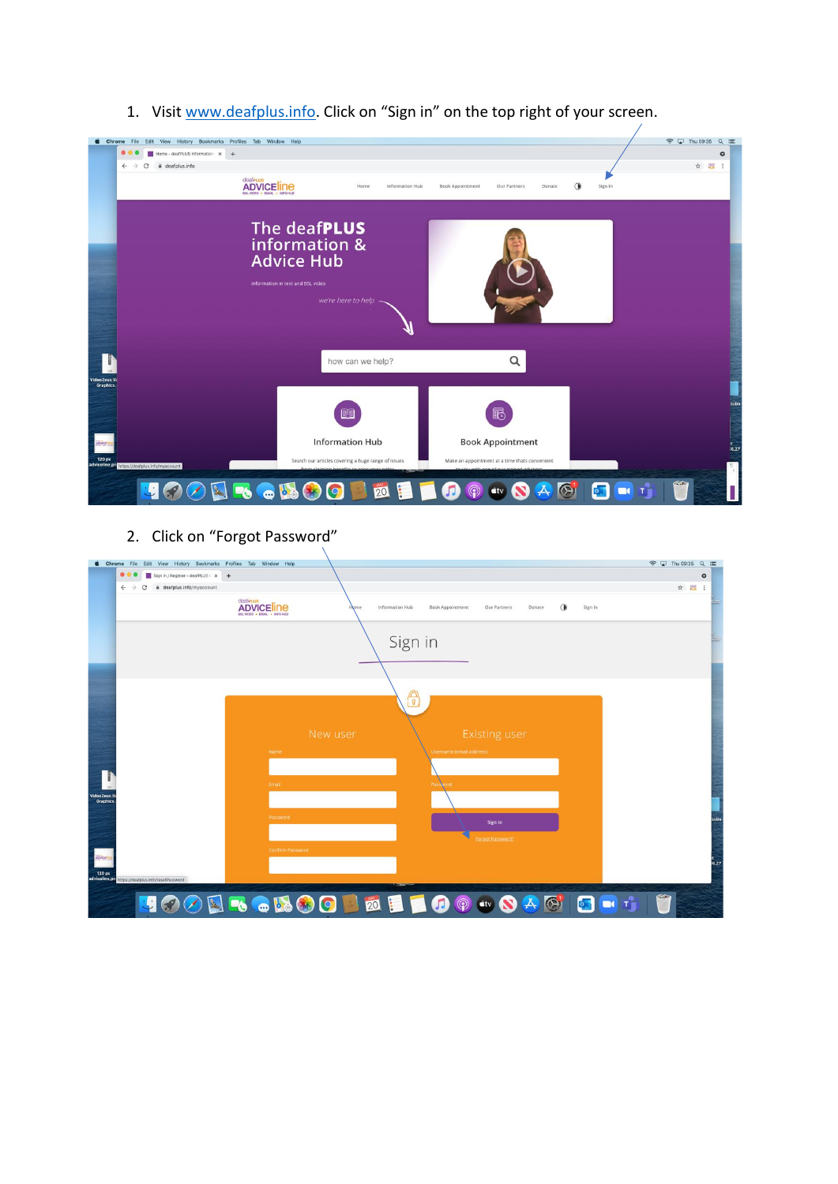1. Visit  $www.deafplus.info$ . Click on "Sign in" on the top right of your screen.

| Chrome File Edit View History Bookmarks Profiles Tab Window Help |                                                                                                 |                                                                                   |                                        | <del></del> □ Thu 09:35 Q 三 |
|------------------------------------------------------------------|-------------------------------------------------------------------------------------------------|-----------------------------------------------------------------------------------|----------------------------------------|-----------------------------|
| ● 6<br>Home - deafPLUS Information x +                           |                                                                                                 |                                                                                   |                                        |                             |
| deafplus.info<br>$\leftarrow$<br>С<br>$\theta$                   |                                                                                                 |                                                                                   |                                        | ☆ 端 :                       |
|                                                                  | deafrus<br><b>ADVICE INE</b><br>Home<br>Information Hub<br>BSL VIDEO . EMAIL . INFO HUB         | <b>Book Appointment</b><br>Our Partners<br>Donate                                 | Sign In                                |                             |
|                                                                  | The deaf <b>PLUS</b><br>information &                                                           |                                                                                   |                                        |                             |
|                                                                  | <b>Advice Hub</b><br>Information in text and BSL video                                          |                                                                                   |                                        |                             |
|                                                                  | we're here to help                                                                              |                                                                                   |                                        |                             |
|                                                                  |                                                                                                 |                                                                                   |                                        |                             |
|                                                                  | how can we help?                                                                                | Q                                                                                 |                                        |                             |
|                                                                  |                                                                                                 |                                                                                   |                                        |                             |
|                                                                  |                                                                                                 |                                                                                   |                                        |                             |
|                                                                  |                                                                                                 | q                                                                                 |                                        |                             |
|                                                                  | <b>Information Hub</b>                                                                          | <b>Book Appointment</b>                                                           |                                        |                             |
|                                                                  |                                                                                                 |                                                                                   |                                        |                             |
| adviceline.pn https://deafplus.info/myaccount                    | Search our articles covering a huge range of issues<br>from claiming honofits to consumer right | Make an appointment at a time thats convenient<br>with ang of our trained advised |                                        |                             |
|                                                                  |                                                                                                 |                                                                                   |                                        | <b>Gita</b>                 |
|                                                                  | 20<br><b>BOB90</b>                                                                              | $\circledS$                                                                       | $\blacksquare$<br>$\overline{\bullet}$ |                             |

2. Click on "Forgot Password"

|                                | Chrome File Edit View History Bookmarks Profiles Tab Window Help                                                                                         | <b>◆ □ Thu 09:35 Q im</b> |
|--------------------------------|----------------------------------------------------------------------------------------------------------------------------------------------------------|---------------------------|
|                                | $\bullet$ $\bullet$<br>Sign in / Register - deafPLUS   x +                                                                                               | $\bullet$                 |
|                                | ii deafplus.info/myaccount<br>$\leftarrow$ $\rightarrow$<br>С                                                                                            | ☆ 題 :                     |
|                                | deaf PLUS<br>ADVICE line<br>Information Hub<br>Œ<br>Sign In<br><b>Book Appointment</b><br>Our Partners<br>Donate<br>Home<br>SSL VIDEO . EMAIL . INFO HUB |                           |
|                                | Sign in                                                                                                                                                  |                           |
|                                |                                                                                                                                                          |                           |
|                                | e<br>C                                                                                                                                                   |                           |
|                                |                                                                                                                                                          |                           |
|                                | <b>Existing user</b><br>New user                                                                                                                         |                           |
|                                | Name<br>Username (email address)                                                                                                                         |                           |
|                                |                                                                                                                                                          |                           |
|                                | Email<br>Password                                                                                                                                        |                           |
| <b>VideoZeus S</b><br>Graphics |                                                                                                                                                          |                           |
|                                | Password                                                                                                                                                 |                           |
|                                | Sign in                                                                                                                                                  |                           |
|                                | Forgot Password?<br><b>Confirm Password</b>                                                                                                              |                           |
| ADVICETO                       |                                                                                                                                                          | 6.27                      |
| 120 px                         | adviceline.pn https://deafplus.info/resetPassword                                                                                                        |                           |
|                                |                                                                                                                                                          |                           |
|                                | <b>NRGIOODEFOOOOODEFIER</b><br>$\overline{\mathbf{r}}$                                                                                                   | m                         |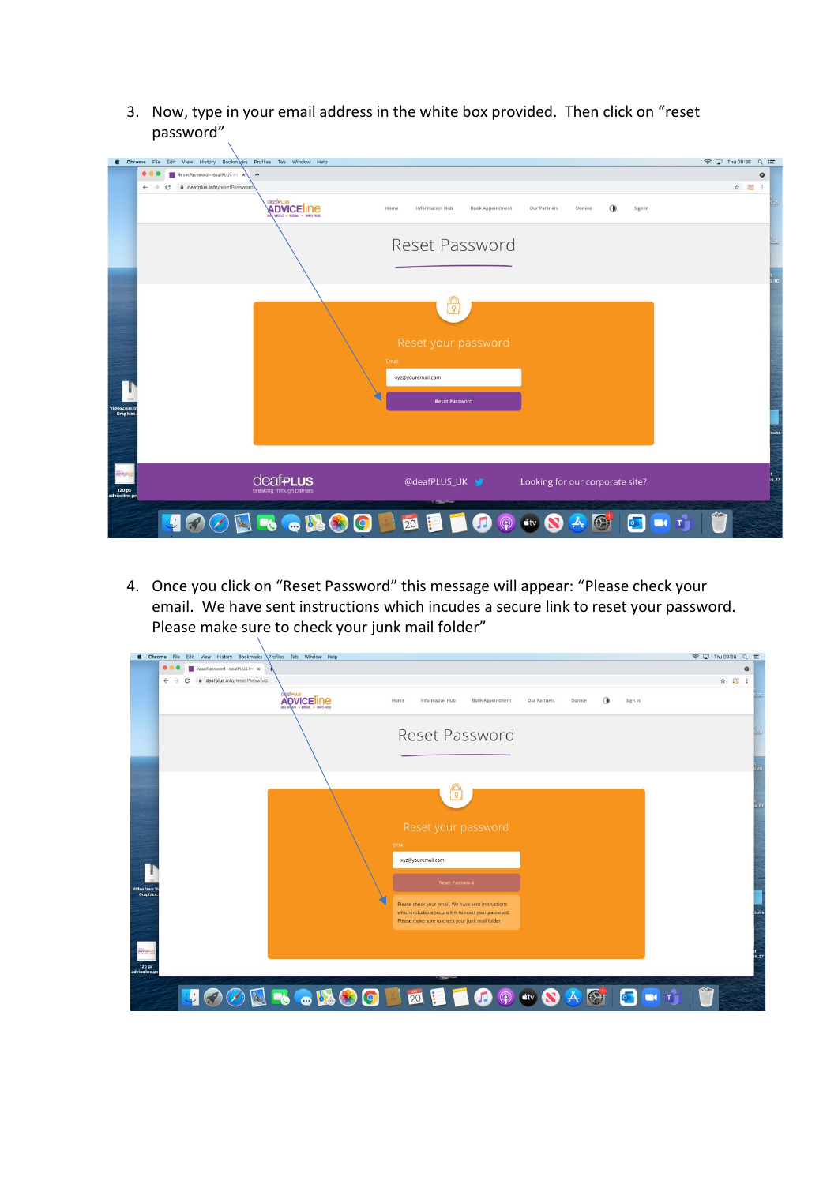3. Now, type in your email address in the white box provided. Then click on "reset password"

|                                           | Chrome File Edit View History Bookmarks Profiles Tab Window Help                                                          | <b>◆ □ Thu 09:36 Q 三</b> |
|-------------------------------------------|---------------------------------------------------------------------------------------------------------------------------|--------------------------|
|                                           | 000<br>ResetPassword - deafPLUS In X +                                                                                    | $\bullet$                |
|                                           | $\leftarrow$<br>deafplus.info/resetPassword                                                                               | ☆ 體<br>$\ddot{z}$        |
|                                           | deaferus<br><b>ADVICE INC.</b><br>Sign In<br>Home<br>Information Hub<br><b>Book Appointment</b><br>Our Partners<br>Donate | 25                       |
|                                           | Reset Password                                                                                                            |                          |
|                                           | $\boxed{9}$<br>Reset your password<br>Email<br>xyz@youremail.com                                                          | .40                      |
| <b>VideoZeus S</b><br>Graphics            | <b>Reset Password</b>                                                                                                     |                          |
| <b>ADVICES</b><br>120 px<br>adviceline.pn | <b>deaf<sub>PLUS</sub></b><br>@deafPLUS_UK<br>Looking for our corporate site?<br>breaking through barriers                | 6.27                     |
|                                           | <b>DO</b> dv <b>O</b><br><b>ROBOODE</b><br><b>DC</b> T<br>中国<br>$\mathbf{k}_d$<br>$\bullet$                               | m                        |

4. Once you click on "Reset Password" this message will appear: "Please check your email. We have sent instructions which incudes a secure link to reset your password. Please make sure to check your junk mail folder"

| $\bullet$ $\bullet$<br>ResetPassword - deafPLUS Inf x<br>deafplus.info/resetPassword<br>$\leftarrow$<br><b>MARIES</b><br>ADVICE INC<br>Home<br>Information Hub<br><b>Book Appointment</b><br>Sign In<br>Our Partners<br>Donate<br>Reset Password<br>$\mathbb{R}$<br>Reset your password<br>Email<br>xyz@youremail.com<br><b>Reset Password</b><br>Please check your email. We have sent instructions<br>which includes a secure link to reset your password.<br>Please make sure to check your junk mail folder | <b>d</b> Chrome File Edit View History Bookmarks Profiles Tab Window Help | <b>◆ Q Thu 09:36 Q ill</b> |
|-----------------------------------------------------------------------------------------------------------------------------------------------------------------------------------------------------------------------------------------------------------------------------------------------------------------------------------------------------------------------------------------------------------------------------------------------------------------------------------------------------------------|---------------------------------------------------------------------------|----------------------------|
|                                                                                                                                                                                                                                                                                                                                                                                                                                                                                                                 |                                                                           |                            |
|                                                                                                                                                                                                                                                                                                                                                                                                                                                                                                                 |                                                                           | ☆ 題 :                      |
|                                                                                                                                                                                                                                                                                                                                                                                                                                                                                                                 |                                                                           |                            |
|                                                                                                                                                                                                                                                                                                                                                                                                                                                                                                                 |                                                                           |                            |
|                                                                                                                                                                                                                                                                                                                                                                                                                                                                                                                 |                                                                           |                            |
|                                                                                                                                                                                                                                                                                                                                                                                                                                                                                                                 |                                                                           |                            |
|                                                                                                                                                                                                                                                                                                                                                                                                                                                                                                                 |                                                                           |                            |
|                                                                                                                                                                                                                                                                                                                                                                                                                                                                                                                 |                                                                           |                            |
|                                                                                                                                                                                                                                                                                                                                                                                                                                                                                                                 |                                                                           |                            |
|                                                                                                                                                                                                                                                                                                                                                                                                                                                                                                                 |                                                                           |                            |
|                                                                                                                                                                                                                                                                                                                                                                                                                                                                                                                 |                                                                           |                            |
|                                                                                                                                                                                                                                                                                                                                                                                                                                                                                                                 |                                                                           |                            |
| Ĥ<br><b>NEGROOD &amp; HIOO . OAG</b>                                                                                                                                                                                                                                                                                                                                                                                                                                                                            |                                                                           |                            |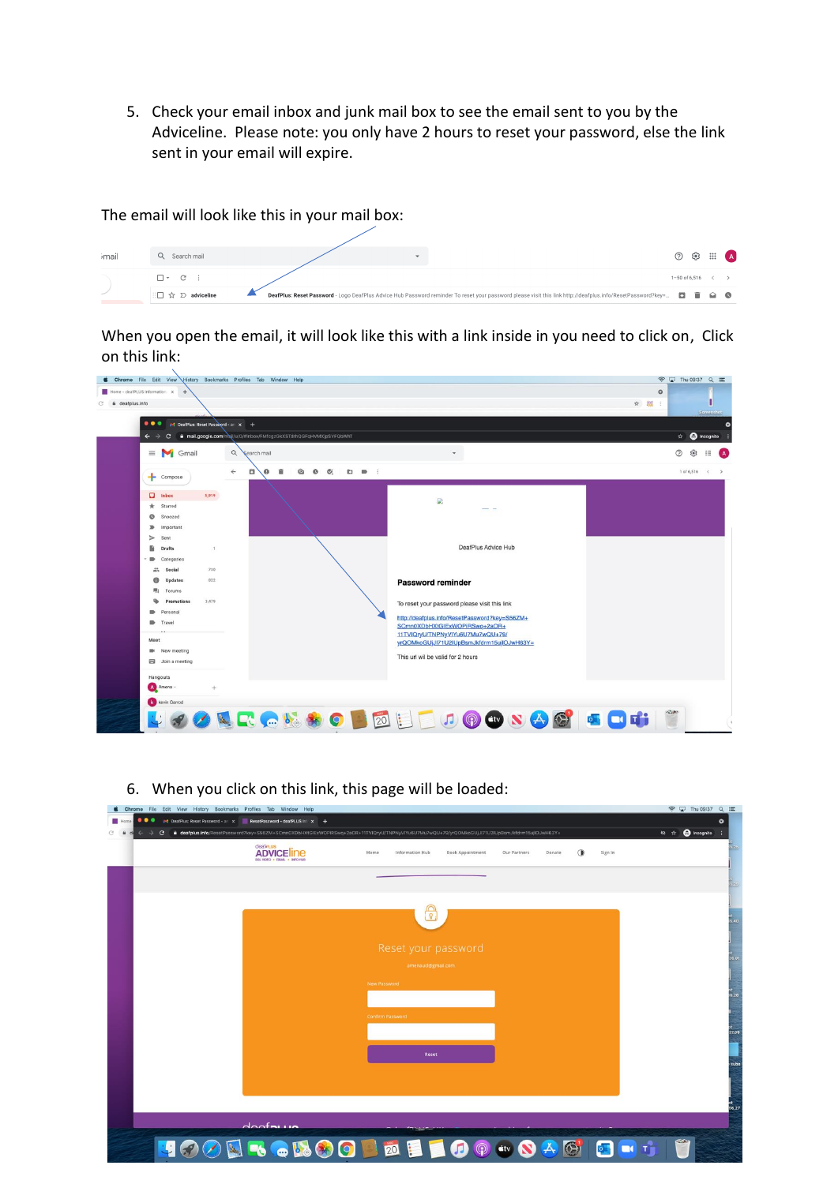5. Check your email inbox and junk mail box to see the email sent to you by the Adviceline. Please note: you only have 2 hours to reset your password, else the link sent in your email will expire.

The email will look like this in your mail box:

| imail | Q Search mail                                            |                                                                                                                                                                                 |                   |  | $\odot$ $\odot$ $\cdots$ A         |
|-------|----------------------------------------------------------|---------------------------------------------------------------------------------------------------------------------------------------------------------------------------------|-------------------|--|------------------------------------|
|       |                                                          |                                                                                                                                                                                 | $1 - 50$ of 6,516 |  | $\left\langle \quad \right\rangle$ |
|       | $\Box \Box \, \, \, \, \& \, \, \, \, \Sigma$ adviceline | DeafPlus: Reset Password - Logo DeafPlus Advice Hub Password reminder To reset your password please visit this link http://deafplus.info/ResetPassword?key= $\square$ $\square$ |                   |  |                                    |

When you open the email, it will look like this with a link inside in you need to click on, Click on this link:



- **Chrome** File Edit View History Bookmarks Profiles Tab Window He **O O** O M DeatPlus: Re т  $\theta$  $\leftarrow$   $\rightarrow$  C a deafplus.info **dealeus**<br>ADVICE LINA Book Appointment Our Partners Donate (a) Sign In on Mith
- 6. When you click on this link, this page will be loaded:

| BSL VIDEO . EMAL . INFO HUB<br>사장이 아직 있는 동생이 없어서 아이에 있는 아이는 아이가 되었다. 이 사람들이 어려워서 있었다.<br>- 100,000,000,000<br>$\sim$<br>the contract of the contract of |             |
|---------------------------------------------------------------------------------------------------------------------------------------------------------|-------------|
|                                                                                                                                                         | 5.25        |
| 8                                                                                                                                                       | 3,40        |
| Reset your password<br>amenaucl@gmail.com                                                                                                               | 36.01       |
| New Password                                                                                                                                            | ut<br>18.26 |
| Confirm Password                                                                                                                                        | 37.09       |
| Reset                                                                                                                                                   | sub:        |
|                                                                                                                                                         | 56.27       |
| A<br><b>Chairmannie</b><br><b>COLOR</b>                                                                                                                 |             |
| $\bullet$<br>$\bigcirc$<br>$\circledcirc$<br>20<br><b>stv</b><br>$\blacktriangle$<br>m<br>IO.<br>$\omega$                                               |             |

 $\begin{picture}(20,20) \put(0,0){\line(1,0){10}} \put(15,0){\line(1,0){10}} \put(15,0){\line(1,0){10}} \put(15,0){\line(1,0){10}} \put(15,0){\line(1,0){10}} \put(15,0){\line(1,0){10}} \put(15,0){\line(1,0){10}} \put(15,0){\line(1,0){10}} \put(15,0){\line(1,0){10}} \put(15,0){\line(1,0){10}} \put(15,0){\line(1,0){10}} \put(15,0){\line(1$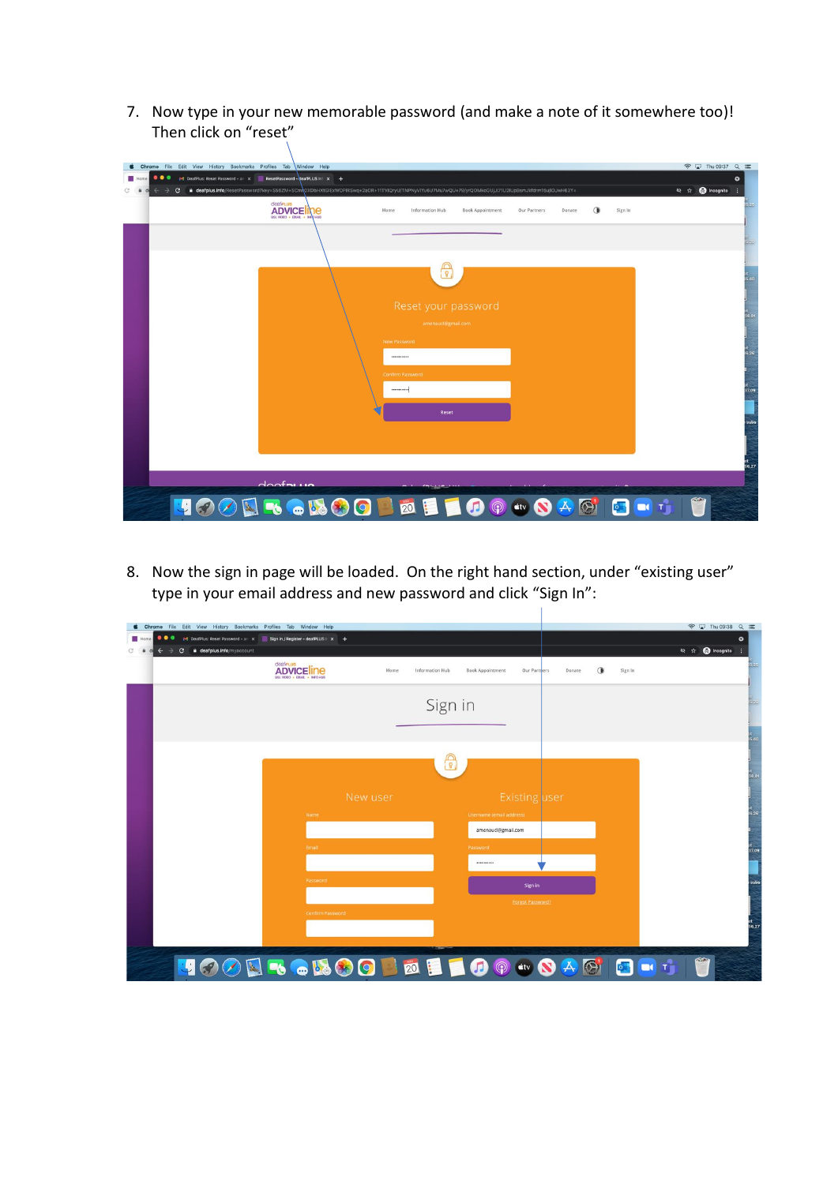7. Now type in your new memorable password (and make a note of it somewhere too)! Then click on "reset"

|      | <b>6</b> Chrome File Edit View History Bookmarks Profiles Tab Window Help                                                                           | <b>◆ □ Thu 09:37 Q im</b> |
|------|-----------------------------------------------------------------------------------------------------------------------------------------------------|---------------------------|
| Home | $\bullet\bullet\bullet$<br>M DeafPlus: Reset Password - an x ResetPassword - deafPLUS Inf x +                                                       | ۰                         |
|      | a deafplus.info/ResetPassword?key=S56ZM+SCm\0XDbHXtGIExWOPIRSwq+2aOR+11TVIQryU/TNPNyVIYu6U7Mu7wQU+79/yrQOMkoGUjJI71U2IUpBsmJkfdrm15ujIOJwH63Y=<br>C | Q Incognito               |
|      | dealerus<br>ADVICEINE<br>∩<br>Sign In<br>Home<br>Information Hub<br><b>Book Appointment</b><br>Our Partners<br>Donate                               | 5,25                      |
|      |                                                                                                                                                     | 5.23                      |
|      | $\overline{8}$                                                                                                                                      | 5.40                      |
|      | Reset your password<br>amenaucl@gmail.com                                                                                                           | 36.01                     |
|      | New Password<br>                                                                                                                                    | 6.26                      |
|      | Confirm Password<br>                                                                                                                                | 37.09                     |
|      | Reset                                                                                                                                               | subs                      |
|      |                                                                                                                                                     | 56.27                     |
|      | $A$ $A$ $A$ $A$ $A$ $A$<br><b>ONGO BELOG WQ</b><br>$\overline{\bullet}$                                                                             | m<br>$\blacksquare$       |

8. Now the sign in page will be loaded. On the right hand section, under "existing user" type in your email address and new password and click "Sign In":

| <b>Chrome</b> File Edit View History Bookmarks Profiles Tab Window Help<br>$\bullet\bullet\bullet$<br>$\leftarrow$ $\rightarrow$ C a deafplus.info/myaccount | M DeafPlus: Reset Password - an x Sign in / Register - deafPLUS   x + |                                                            | <b>◆ Q Thu 09:38 Q IE</b><br>$\bullet$<br>to ☆ ● Incognito : |
|--------------------------------------------------------------------------------------------------------------------------------------------------------------|-----------------------------------------------------------------------|------------------------------------------------------------|--------------------------------------------------------------|
|                                                                                                                                                              | dealerus<br><b>ADVICE INE</b><br>Home<br>BSL VIDEO . EMAIL . INFO HUB | Information Hub<br><b>Book Appointment</b><br>Our Partners | 5,25<br>⊕<br>Sign In<br>Donate                               |
|                                                                                                                                                              |                                                                       | Sign in                                                    | 5.45                                                         |
|                                                                                                                                                              |                                                                       |                                                            | 5,40                                                         |
|                                                                                                                                                              |                                                                       |                                                            |                                                              |
|                                                                                                                                                              |                                                                       | $\Omega$                                                   | л<br>36.01                                                   |
|                                                                                                                                                              | New user                                                              | <b>Existing user</b>                                       |                                                              |
|                                                                                                                                                              | Name                                                                  | Username (email address)                                   | 8.26                                                         |
|                                                                                                                                                              |                                                                       | amenaucl@gmail.com                                         |                                                              |
|                                                                                                                                                              | Email                                                                 | Password                                                   | 37.09                                                        |
|                                                                                                                                                              |                                                                       |                                                            |                                                              |
|                                                                                                                                                              | Password                                                              | Sign in                                                    | subs                                                         |
|                                                                                                                                                              |                                                                       | <b>Forgot Password?</b>                                    |                                                              |
|                                                                                                                                                              | <b>Confirm Password</b>                                               |                                                            | 56.27                                                        |
|                                                                                                                                                              |                                                                       |                                                            |                                                              |
|                                                                                                                                                              |                                                                       | <b>400 N &amp; &amp; B O B &amp; B I O O &amp; B G H T</b> | m                                                            |